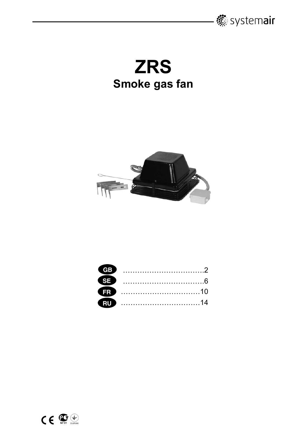

**ZRS Smoke gas fan** 



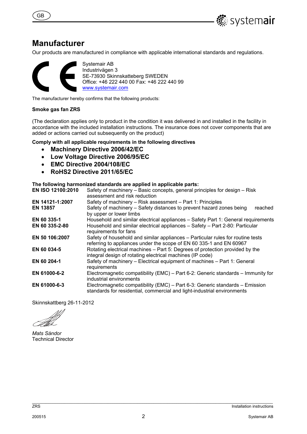



### **Manufacturer**

Our products are manufactured in compliance with applicable international standards and regulations.



Systemair AB Industrivägen 3 SE-73930 Skinnskatteberg SWEDEN Office: +46 222 440 00 Fax: +46 222 440 99 www.systemair.com

The manufacturer hereby confirms that the following products:

#### **Smoke gas fan ZRS**

(The declaration applies only to product in the condition it was delivered in and installed in the facility in accordance with the included installation instructions. The insurance does not cover components that are added or actions carried out subsequently on the product)

#### **Comply with all applicable requirements in the following directives**

- **Machinery Directive 2006/42/EC**
- **Low Voltage Directive 2006/95/EC**
- **EMC Directive 2004/108/EC**
- **RoHS2 Directive 2011/65/EC**

#### **The following harmonized standards are applied in applicable parts:**

| EN ISO 12100:2010 | Safety of machinery – Basic concepts, general principles for design – Risk<br>assessment and risk reduction                                             |
|-------------------|---------------------------------------------------------------------------------------------------------------------------------------------------------|
| EN 14121-1:2007   | Safety of machinery – Risk assessment – Part 1: Principles                                                                                              |
| <b>EN 13857</b>   | Safety of machinery - Safety distances to prevent hazard zones being<br>reached<br>by upper or lower limbs                                              |
| EN 60 335-1       | Household and similar electrical appliances – Safety Part 1: General requirements                                                                       |
| EN 60 335-2-80    | Household and similar electrical appliances - Safety - Part 2-80: Particular<br>requirements for fans                                                   |
| EN 50 106:2007    | Safety of household and similar appliances – Particular rules for routine tests<br>referring to appliances under the scope of EN 60 335-1 and EN 60967  |
| EN 60 034-5       | Rotating electrical machines – Part 5: Degrees of protection provided by the<br>integral design of rotating electrical machines (IP code)               |
| EN 60 204-1       | Safety of machinery - Electrical equipment of machines - Part 1: General<br>requirements                                                                |
| EN 61000-6-2      | Electromagnetic compatibility (EMC) – Part 6-2: Generic standards – Immunity for<br>industrial environments                                             |
| EN 61000-6-3      | Electromagnetic compatibility (EMC) – Part 6-3: Generic standards – Emission<br>standards for residential, commercial and light-industrial environments |

Skinnskattberg 26-11-2012

*Mats Sándor*  Technical Director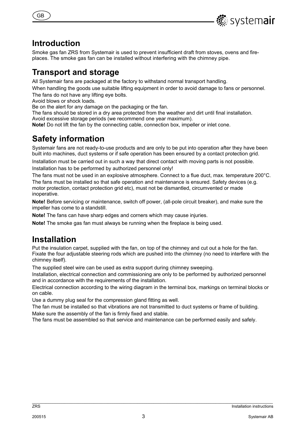

## **Introduction**

GB

Smoke gas fan ZRS from Systemair is used to prevent insufficient draft from stoves, ovens and fireplaces. The smoke gas fan can be installed without interfering with the chimney pipe.

## **Transport and storage**

All Systemair fans are packaged at the factory to withstand normal transport handling.

When handling the goods use suitable lifting equipment in order to avoid damage to fans or personnel.

The fans do not have any lifting eye bolts.

Avoid blows or shock loads.

Be on the alert for any damage on the packaging or the fan.

The fans should be stored in a dry area protected from the weather and dirt until final installation. Avoid excessive storage periods (we recommend one year maximum).

**Note!** Do not lift the fan by the connecting cable, connection box, impeller or inlet cone.

# **Safety information**

Systemair fans are not ready-to-use products and are only to be put into operation after they have been built into machines, duct systems or if safe operation has been ensured by a contact protection grid.

Installation must be carried out in such a way that direct contact with moving parts is not possible. Installation has to be performed by authorized personnel only!

The fans must not be used in an explosive atmosphere. Connect to a flue duct, max. temperature 200°C. The fans must be installed so that safe operation and maintenance is ensured. Safety devices (e.g. motor protection, contact protection grid etc), must not be dismantled, circumvented or made inoperative.

**Note!** Before servicing or maintenance, switch off power, (all-pole circuit breaker), and make sure the impeller has come to a standstill.

**Note!** The fans can have sharp edges and corners which may cause injuries.

**Note!** The smoke gas fan must always be running when the fireplace is being used.

# **Installation**

Put the insulation carpet, supplied with the fan, on top of the chimney and cut out a hole for the fan. Fixate the four adjustable steering rods which are pushed into the chimney (no need to interfere with the chimney itself).

The supplied steel wire can be used as extra support during chimney sweeping.

Installation, electrical connection and commissioning are only to be performed by authorized personnel and in accordance with the requirements of the installation.

Electrical connection according to the wiring diagram in the terminal box, markings on terminal blocks or on cable.

Use a dummy plug seal for the compression gland fitting as well.

The fan must be installed so that vibrations are not transmitted to duct systems or frame of building. Make sure the assembly of the fan is firmly fixed and stable.

The fans must be assembled so that service and maintenance can be performed easily and safely.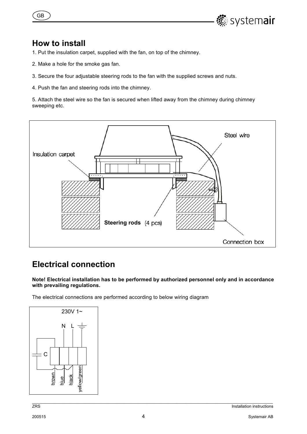

## **How to install**

GB

- 1. Put the insulation carpet, supplied with the fan, on top of the chimney.
- 2. Make a hole for the smoke gas fan.
- 3. Secure the four adjustable steering rods to the fan with the supplied screws and nuts.
- 4. Push the fan and steering rods into the chimney.

5. Attach the steel wire so the fan is secured when lifted away from the chimney during chimney sweeping etc.



# **Electrical connection**

**Note! Electrical installation has to be performed by authorized personnel only and in accordance with prevailing regulations.** 

The electrical connections are performed according to below wiring diagram

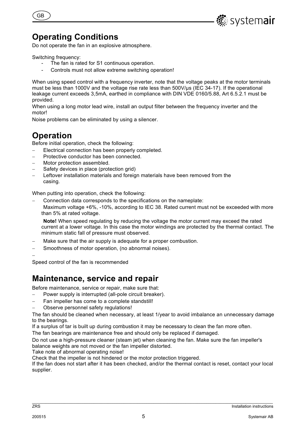

# **Operating Conditions**

Do not operate the fan in an explosive atmosphere.

Switching frequency:

GB

- The fan is rated for S1 continuous operation.
- Controls must not allow extreme switching operation!

When using speed control with a frequency inverter, note that the voltage peaks at the motor terminals must be less than 1000V and the voltage rise rate less than 500V/µs (IEC 34-17). If the operational leakage current exceeds 3,5mA, earthed in compliance with DIN VDE 0160/5.88, Art 6.5.2.1 must be provided.

When using a long motor lead wire, install an output filter between the frequency inverter and the motor!

Noise problems can be eliminated by using a silencer.

# **Operation**

Before initial operation, check the following:

- Electrical connection has been properly completed.
- Protective conductor has been connected.
- Motor protection assembled.
- Safety devices in place (protection grid)
- Leftover installation materials and foreign materials have been removed from the casing.

When putting into operation, check the following:

Connection data corresponds to the specifications on the nameplate:

Maximum voltage +6%, -10%, according to IEC 38. Rated current must not be exceeded with more than 5% at rated voltage.

**Note!** When speed regulating by reducing the voltage the motor current may exceed the rated current at a lower voltage. In this case the motor windings are protected by the thermal contact. The minimum static fall of pressure must observed.

- Make sure that the air supply is adequate for a proper combustion.
- Smoothness of motor operation, (no abnormal noises).

 $\overline{\phantom{0}}$ 

Speed control of the fan is recommended

## **Maintenance, service and repair**

Before maintenance, service or repair, make sure that:

Power supply is interrupted (all-pole circuit breaker).

- Fan impeller has come to a complete standstill!
- Observe personnel safety regulations!

The fan should be cleaned when necessary, at least 1/year to avoid imbalance an unnecessary damage to the bearings.

If a surplus of tar is built up during combustion it may be necessary to clean the fan more often.

The fan bearings are maintenance free and should only be replaced if damaged.

Do not use a high-pressure cleaner (steam jet) when cleaning the fan. Make sure the fan impeller's balance weights are not moved or the fan impeller distorted.

Take note of abnormal operating noise!

Check that the impeller is not hindered or the motor protection triggered.

If the fan does not start after it has been checked, and/or the thermal contact is reset, contact your local supplier.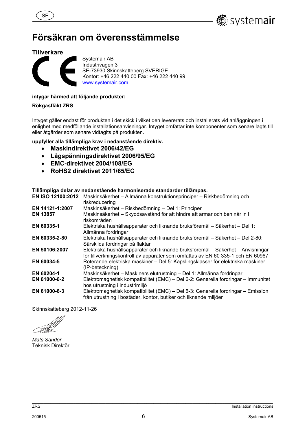



# **Försäkran om överensstämmelse**

#### **Tillverkare**



Systemair AB Industrivägen 3 SE-73930 Skinnskatteberg SVERIGE Kontor: +46 222 440 00 Fax: +46 222 440 99 www.systemair.com

#### **intygar härmed att följande produkter:**

**Rökgasfläkt ZRS** 

Intyget gäller endast för produkten i det skick i vilket den levererats och installerats vid anläggningen i enlighet med medföljande installationsanvisningar. Intyget omfattar inte komponenter som senare lagts till eller åtgärder som senare vidtagits på produkten.

**uppfyller alla tillämpliga krav i nedanstående direktiv.** 

- **Maskindirektivet 2006/42/EG**
- **Lågspänningsdirektivet 2006/95/EG**
- **EMC-direktivet 2004/108/EG**
- **RoHS2 direktivet 2011/65/EC**

#### **Tillämpliga delar av nedanstående harmoniserade standarder tillämpas.**

| EN ISO 12100:2012 | Maskinsäkerhet – Allmänna konstruktionsprinciper – Riskbedömning och<br>riskreducering                                                                             |
|-------------------|--------------------------------------------------------------------------------------------------------------------------------------------------------------------|
| EN 14121-1:2007   | Maskinsäkerhet - Riskbedömning - Del 1: Principer                                                                                                                  |
| <b>EN 13857</b>   | Maskinsäkerhet - Skyddsavstånd för att hindra att armar och ben når in i<br>riskområden                                                                            |
| EN 60335-1        | Elektriska hushållsapparater och liknande bruksföremål – Säkerhet – Del 1:<br>Allmänna fordringar                                                                  |
| EN 60335-2-80     | Elektriska hushållsapparater och liknande bruksföremål – Säkerhet – Del 2-80:<br>Särskilda fordringar på fläktar                                                   |
| EN 50106:2007     | Elektriska hushållsapparater och liknande bruksföremål – Säkerhet – Anvisningar<br>för tillverkningskontroll av apparater som omfattas av EN 60 335-1 och EN 60967 |
| EN 60034-5        | Roterande elektriska maskiner – Del 5: Kapslingsklasser för elektriska maskiner<br>(IP-beteckning)                                                                 |
| EN 60204-1        | Maskinsäkerhet – Maskiners elutrustning – Del 1: Allmänna fordringar                                                                                               |
| EN 61000-6-2      | Elektromagnetisk kompatibilitet (EMC) – Del 6-2: Generella fordringar – Immunitet<br>hos utrustning i industrimiljö                                                |
| EN 61000-6-3      | Elektromagnetisk kompatibilitet (EMC) – Del 6-3: Generella fordringar – Emission<br>från utrustning i bostäder, kontor, butiker och liknande miljöer               |

Skinnskatteberg 2012-11-26

*Mats Sándor*  Teknisk Direktör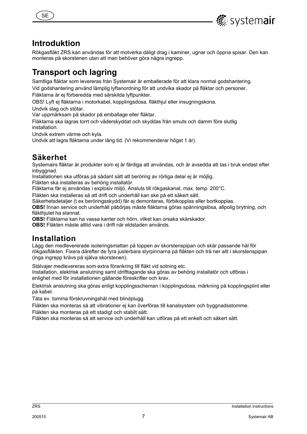



## **Introduktion**

Rökgasfläkt ZRS kan användas för att motverka dåligt drag i kaminer, ugnar och öppna spisar. Den kan monteras på skorstenen utan att man behöver göra några ingrepp.

# **Transport och lagring**

Samtliga fläktar som levereras från Systemair är emballerade för att klara normal godshantering. Vid godshantering använd lämplig lyftanordning för att undvika skador på fläktar och personer.

Fläktarna är ej förberedda med särskilda lyftpunkter.

OBS! Lyft ej fläktarna i motorkabel, kopplingsdosa, fläkthjul eller insugningskona.

Undvik slag och stötar.

Var uppmärksam på skador på emballage eller fläktar.

Fläktarna ska lagras torrt och väderskyddat och skyddas från smuts och damm före slutlig installation.

Undvik extrem värme och kyla.

Undvik att lagra fläktarna under lång tid. (Vi rekommenderar högst 1 år).

## **Säkerhet**

Systemairs fläktar är produkter som ej är färdiga att användas, och är avsedda att tas i bruk endast efter inbyggnad.

Installationen ska utföras på sådant sätt att beröring av rörliga delar ej är möjlig.

Fläkten ska installeras av behörig installatör.

Fläktarna får ej användas i explosiv miljö. Ansluts till rökgaskanal, max. temp. 200°C.

Fläkten ska installeras så att drift och underhåll kan ske på ett säkert sätt.

Säkerhetsdetaljer (t ex beröringsskydd) får ej demonteras, förbikopplas eller bortkopplas.

**OBS!** Innan service och underhåll påbörjas måste fläktarna göras spänningslösa, allpolig brytning, och fläkthiulet ha stannat.

**OBS!** Fläktarna kan ha vassa kanter och hörn, vilket kan orsaka skärskador.

**OBS!** Fläkten måste alltid vara i drift när eldstaden används.

## **Installation**

Lägg den medlevererade isoleringsmattan på toppen av skorstenspipan och skär passande hål för rökgasfläkten. Fixera därefter de fyra justerbara styrpinnarna på fläkten och trä ner allt i skorstenspipan (inga ingrepp krävs på själva skorstenen).

Stålvajer medlevereras som extra förankring till fläkt vid sotning etc.

Installation, elektrisk anslutning samt idrifttagande ska göras av behörig installatör och utföras i enlighet med för installationen gällande föreskrifter och krav.

Elektrisk anslutning ska göras enligt kopplingsscheman i kopplingsdosa, märkning på kopplingsplint eller på kabel.

Täta ev. tomma förskruvningshål med blindplugg.

Fläkten ska monteras så att vibrationer ei kan överföras till kanalsystem och byggnadsstomme.

Fläkten ska monteras på ett stadigt och stabilt sätt.

Fläkten ska monteras så att service och underhåll kan utföras på ett enkelt och säkert sätt.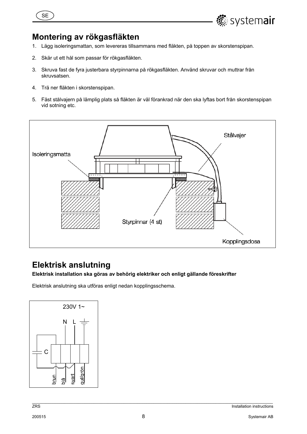



- 1. Lägg isoleringsmattan, som levereras tillsammans med fläkten, på toppen av skorstenspipan.
- 2. Skär ut ett hål som passar för rökgasfläkten.
- 3. Skruva fast de fyra justerbara styrpinnarna på rökgasfläkten. Använd skruvar och muttrar från skruvsatsen.
- 4. Trä ner fläkten i skorstenspipan.
- 5. Fäst stålvajern på lämplig plats så fläkten är väl förankrad när den ska lyftas bort från skorstenspipan vid sotning etc.



# **Elektrisk anslutning**

**Elektrisk installation ska göras av behörig elektriker och enligt gällande föreskrifter** 

Elektrisk anslutning ska utföras enligt nedan kopplingsschema.



**.** systemair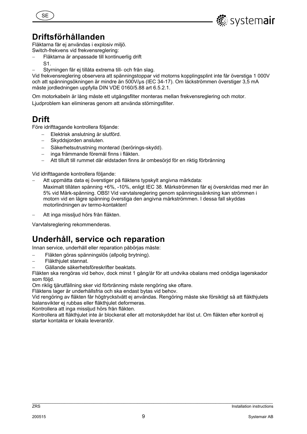



## **Driftsförhållanden**

Fläktarna får ej användas i explosiv miljö. Switch-frekvens vid frekvensreglering:

- Fläktarna är anpassade till kontinuerlig drift
- S1.
- Styrningen får ej tillåta extrema till- och från slag.

Vid frekvensreglering observera att spänningstoppar vid motorns kopplingsplint inte får överstiga 1 000V och att spänningsökningen är mindre än 500V/µs (IEC 34-17). Om läckströmmen överstiger 3,5 mA måste jordledningen uppfylla DIN VDE 0160/5.88 art 6.5.2.1.

Om motorkabeln är lång måste ett utgångsfilter monteras mellan frekvensreglering och motor. Ljudproblem kan elimineras genom att använda störningsfilter.

## **Drift**

Före idrifttagande kontrollera följande:

- Elektrisk anslutning är slutförd.
- Skyddsjorden ansluten.
- Säkerhetsutrustning monterad (berörings-skydd).
- inga främmande föremål finns i fläkten.
- Att tilluft till rummet där eldstaden finns är ombesörjd för en riktig förbränning

Vid idrifttagande kontrollera följande:

- Att uppmätta data ej överstiger på fläktens typskylt angivna märkdata:
- Maximalt tillåten spänning +6%, -10%, enligt IEC 38. Märkströmmen får ej överskridas med mer än 5% vid Märk-spänning. OBS! Vid varvtalsreglering genom spänningssänkning kan strömmen i motorn vid en lägre spänning överstiga den angivna märkströmmen. I dessa fall skyddas motorlindningen av termo-kontakten!
- Att inga missljud hörs från fläkten.

Varvtalsreglering rekommenderas.

# **Underhåll, service och reparation**

Innan service, underhåll eller reparation påbörjas måste:

- Fläkten göras spänningslös (allpolig brytning).
- Fläkthjulet stannat.
- Gällande säkerhetsföreskrifter beaktats.

Fläkten ska rengöras vid behov, dock minst 1 gång/år för att undvika obalans med onödiga lagerskador som följd.

Om riklig tjärutfällning sker vid förbränning måste rengöring ske oftare.

Fläktens lager är underhållsfria och ska endast bytas vid behov.

Vid rengöring av fläkten får högtryckstvätt ej användas. Rengöring måste ske försiktigt så att fläkthjulets balansvikter ej rubbas eller fläkthjulet deformeras.

Kontrollera att inga missljud hörs från fläkten.

Kontrollera att fläkthjulet inte är blockerat eller att motorskyddet har löst ut. Om fläkten efter kontroll ej startar kontakta er lokala leverantör.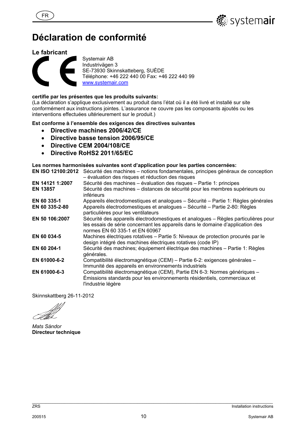

# **Déclaration de conformité**

#### **Le fabricant**

FR



Systemair AB Industrivägen 3 SE-73930 Skinnskatteberg, SUÈDE Téléphone: +46 222 440 00 Fax: +46 222 440 99 www.systemair.com

#### **certifie par les présentes que les produits suivants:**

(La déclaration s'applique exclusivement au produit dans l'état où il a été livré et installé sur site conformément aux instructions jointes. L'assurance ne couvre pas les composants ajoutés ou les interventions effectuées ultérieurement sur le produit.)

#### **Est conforme à l'ensemble des exigences des directives suivantes**

- **Directive machines 2006/42/CE**
- **Directive basse tension 2006/95/CE**
- **Directive CEM 2004/108/CE**
- **Directive RoHS2 2011/65/EC**

#### **Les normes harmonisées suivantes sont d'application pour les parties concernées:**

|                 | EN ISO 12100:2012 Sécurité des machines – notions fondamentales, principes généraux de conception<br>- évaluation des risques et réduction des risques                                                 |
|-----------------|--------------------------------------------------------------------------------------------------------------------------------------------------------------------------------------------------------|
| EN 14121 1:2007 | Sécurité des machines – évaluation des risques – Partie 1: principes                                                                                                                                   |
| <b>EN 13857</b> | Sécurité des machines – distances de sécurité pour les membres supérieurs ou<br>inférieurs                                                                                                             |
| EN 60 335-1     | Appareils électrodomestiques et analogues - Sécurité - Partie 1: Règles générales                                                                                                                      |
| EN 60 335-2-80  | Appareils électrodomestiques et analogues - Sécurité - Partie 2-80: Règles<br>particulières pour les ventilateurs                                                                                      |
| EN 50 106:2007  | Sécurité des appareils électrodomestiques et analogues – Règles particulières pour<br>les essais de série concernant les appareils dans le domaine d'application des<br>normes EN 60 335-1 et EN 60967 |
| EN 60 034-5     | Machines électriques rotatives - Partie 5: Niveaux de protection procurés par le<br>design intégré des machines électriques rotatives (code IP)                                                        |
| EN 60 204-1     | Sécurité des machines; équipement électrique des machines – Partie 1: Règles<br>générales.                                                                                                             |
| EN 61000-6-2    | Compatibilité électromagnétique (CEM) - Partie 6-2: exigences générales -<br>Immunité des appareils en environnements industriels                                                                      |
| EN 61000-6-3    | Compatibilité électromagnétique (CEM), Partie EN 6-3: Normes génériques -<br>Émissions standards pour les environnements résidentiels, commerciaux et<br>l'industrie légère                            |

Skinnskattberg 26-11-2012

*Mats Sándor*  **Directeur technique**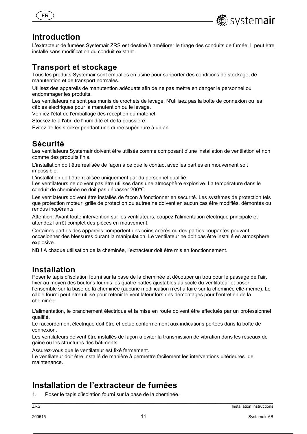



### **Introduction**

L'extracteur de fumées Systemair ZRS est destiné à améliorer le tirage des conduits de fumée. Il peut être installé sans modification du conduit existant.

### **Transport et stockage**

Tous les produits Systemair sont emballés en usine pour supporter des conditions de stockage, de manutention et de transport normales.

Utilisez des appareils de manutention adéquats afin de ne pas mettre en danger le personnel ou endommager les produits.

Les ventilateurs ne sont pas munis de crochets de levage. N'utilisez pas la boîte de connexion ou les câbles électriques pour la manutention ou le levage.

Vérifiez l'état de l'emballage dès réception du matériel.

Stockez-le à l'abri de l'humidité et de la poussière.

Evitez de les stocker pendant une durée supérieure à un an.

## **Sécurité**

Les ventilateurs Systemair doivent être utilisés comme composant d'une installation de ventilation et non comme des produits finis.

L'installation doit être réalisée de façon à ce que le contact avec les parties en mouvement soit impossible.

L'installation doit être réalisée uniquement par du personnel qualifié.

Les ventilateurs ne doivent pas être utilisés dans une atmosphère explosive. La température dans le conduit de cheminée ne doit pas dépasser 200°C.

Les ventilateurs doivent être installés de façon à fonctionner en sécurité. Les systèmes de protection tels que protection moteur, grille de protection ou autres ne doivent en aucun cas être modifiés, démontés ou rendus inopérants.

Attention: Avant toute intervention sur les ventilateurs, coupez l'alimentation électrique principale et attendez l'arrêt complet des pièces en mouvement.

Certaines parties des appareils comportent des coins acérés ou des parties coupantes pouvant occasionner des blessures durant la manipulation. Le ventilateur ne doit pas être installé en atmosphère explosive.

NB ! A chaque utilisation de la cheminée, l'extracteur doit être mis en fonctionnement.

### **Installation**

Poser le tapis d'isolation fourni sur la base de la cheminée et découper un trou pour le passage de l'air. fixer au moyen des boulons fournis les quatre pattes ajustables au socle du ventilateur et poser l'ensemble sur la base de la cheminée (aucune modification n'est à faire sur la cheminée elle-même). Le câble fourni peut être utilisé pour retenir le ventilateur lors des démontages pour l'entretien de la cheminée.

L'alimentation, le branchement électrique et la mise en route doivent être effectués par un professionnel qualifié.

Le raccordement électrique doit être effectué conformément aux indications portées dans la boîte de connexion.

Les ventilateurs doivent être installés de façon à éviter la transmission de vibration dans les réseaux de gaine ou les structures des bâtiments.

Assurez-vous que le ventilateur est fixé fermement.

Le ventilateur doit être installé de manière à permettre facilement les interventions ultérieures. de maintenance.

## **Installation de l'extracteur de fumées**

1. Poser le tapis d'isolation fourni sur la base de la cheminée.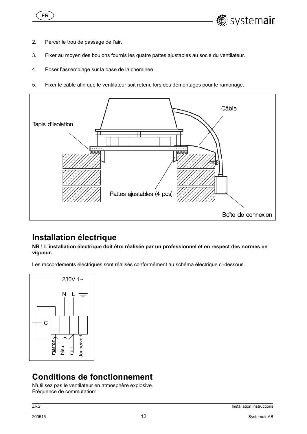



- 2. Percer le trou de passage de l'air.
- 3. Fixer au moyen des boulons fournis les quatre pattes ajustables au socle du ventilateur.
- 4. Poser l'assemblage sur la base de la cheminée.
- 5. Fixer le câble afin que le ventilateur soit retenu lors des démontages pour le ramonage.



# **Installation électrique**

**NB ! L'installation électrique doit être réalisée par un professionnel et en respect des normes en vigueur.** 

Les raccordements électriques sont réalisés conformément au schéma électrique ci-dessous.



# **Conditions de fonctionnement**

N'utilisez pas le ventilateur en atmosphère explosive. Fréquence de commutation: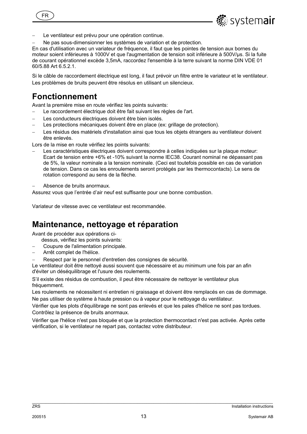

Le ventilateur est prévu pour une opération continue.

Ne pas sous-dimensionner les systèmes de variation et de protection.

En cas d'utilisation avec un variateur de fréquence, il faut que les pointes de tension aux bornes du moteur soient inférieures à 1000V et que l'augmentation de tension soit inférieure à 500V/µs. Si la fuite de courant opérationnel excède 3,5mA, raccordez l'ensemble à la terre suivant la norme DIN VDE 01 60/5.88 Art 6.5.2.1.

Si le câble de raccordement électrique est long, il faut prévoir un filtre entre le variateur et le ventilateur. Les problèmes de bruits peuvent être résolus en utilisant un silencieux.

# **Fonctionnement**

Avant la première mise en route vérifiez les points suivants:

- Le raccordement électrique doit être fait suivant les règles de l'art.
- Les conducteurs électriques doivent être bien isolés.
- Les protections mécaniques doivent être en place (ex: grillage de protection).
- Les résidus des matériels d'installation ainsi que tous les objets étrangers au ventilateur doivent être enlevés.

Lors de la mise en route vérifiez les points suivants:

- Les caractéristiques électriques doivent correspondre à celles indiquées sur la plaque moteur: Ecart de tension entre +6% et -10% suivant la norme IEC38. Courant nominal ne dépassant pas de 5%, la valeur nominale a la tension nominale. (Ceci est toutefois possible en cas de variation de tension. Dans ce cas les enroulements seront protégés par les thermocontacts). Le sens de rotation correspond au sens de la flèche.
- Absence de bruits anormaux.

Assurez vous que l'entrée d'air neuf est suffisante pour une bonne combustion.

Variateur de vitesse avec ce ventilateur est recommandée.

## **Maintenance, nettoyage et réparation**

Avant de procéder aux opérations ci-

- dessus, vérifiez les points suivants:
- Coupure de l'alimentation principale.
- Arrêt complet de l'hélice.
- Respect par le personnel d'entretien des consignes de sécurité.

Le ventilateur doit être nettoyé aussi souvent que nécessaire et au minimum une fois par an afin d'éviter un déséquilibrage et l'usure des roulements.

S'il existe des résidus de combustion, il peut être nécessaire de nettoyer le ventilateur plus fréquemment.

Les roulements ne nécessitent ni entretien ni graissage et doivent être remplacés en cas de dommage. Ne pas utiliser de système à haute pression ou à vapeur pour le nettoyage du ventilateur.

Vérifier que les plots d'équilibrage ne sont pas enlevés et que les pales d'hélice ne sont pas tordues. Contrôlez la présence de bruits anormaux.

Vérifier que l'hélice n'est pas bloquée et que la protection thermocontact n'est pas activée. Après cette vérification, si le ventilateur ne repart pas, contactez votre distributeur.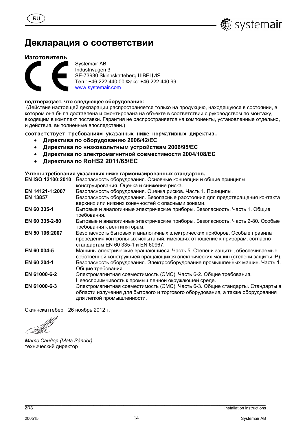

# Декларация о соответствии

#### Изготовитель

**RU** 



Systemair AB Industrivägen 3 SE-73930 Skinnskatteberg ШВЕЦИЯ Тел.: +46 222 440 00 Факс: +46 222 440 99 www.systemair.com

#### подтверждает, что следующее оборудование:

(Действие настоящей декларации распространяется только на продукцию, находящуюся в состоянии, в котором она была доставлена и смонтирована на объекте в соответствии с руководством по монтажу, входящим в комплект поставки. Гарантия не распространяется на компоненты, установленные отдельно, и действия, выполненные впоследствии.)

#### соответствует требованиям указанных ниже нормативных директив.

- Директива по оборудованию 2006/42/ЕС  $\bullet$
- Директива по низковольтным устройствам 2006/95/ЕС  $\bullet$
- $\bullet$ Директива по электромагнитной совместимости 2004/108/ЕС
- Директива по RoHS2 2011/65/EC  $\bullet$

#### Учтены требования указанных ниже гармонизированных стандартов.

**EN ISO 12100:2010** Безопасность оборудования. Основные концепции и общие принципы конструирования. Оценка и снижение риска.

| EN 14121-1:2007 | Безопасность оборудования. Оценка рисков. Часть 1. Принципы.                                                                                                                                 |
|-----------------|----------------------------------------------------------------------------------------------------------------------------------------------------------------------------------------------|
| <b>EN 13857</b> | Безопасность оборудования. Безопасные расстояния для предотвращения контакта<br>верхних или нижних конечностей с опасными зонами.                                                            |
| EN 60 335-1     | Бытовые и аналогичные электрические приборы. Безопасность. Часть 1. Общие<br>требования.                                                                                                     |
| EN 60 335-2-80  | Бытовые и аналогичные электрические приборы. Безопасность. Часть 2-80. Особые<br>требования к вентиляторам.                                                                                  |
| EN 50 106:2007  | Безопасность бытовых и аналогичных электрических приборов. Особые правила<br>проведения контрольных испытаний, имеющих отношение к приборам, согласно<br>стандартам EN 60 335-1 и EN 60967.  |
| EN 60 034-5     | Машины электрические вращающиеся. Часть 5. Степени защиты, обеспечиваемые<br>собственной конструкцией вращающихся электрических машин (степени защиты IP).                                   |
| EN 60 204-1     | Безопасность оборудования. Электрооборудование промышленных машин. Часть 1.<br>Общие требования.                                                                                             |
| EN 61000-6-2    | Электромагнитная совместимость (ЭМС). Часть 6-2. Общие требования.<br>Невосприимчивость к промышленной окружающей среде.                                                                     |
| EN 61000-6-3    | Электромагнитная совместимость (ЭМС). Часть 6-3. Общие стандарты. Стандарты в<br>области излучения для бытового и торгового оборудования, а также оборудования<br>лля легкой промышленности. |

Скиннскаттеберг, 26 ноябрь 2012 г.

Mamc Сандор (Mats Sándor), технический директор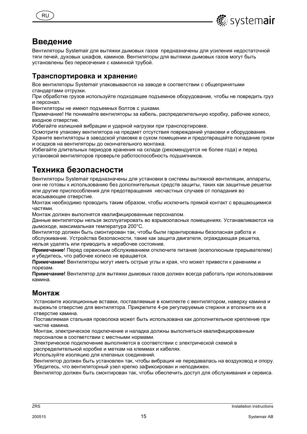



### Введение

Вентиляторы Systemair для вытяжки дымовых газов предназначены для усиления недостаточной тяги печей, духовых шкафов, каминов. Вентиляторы для вытяжки дымовых газов могут быть установлены без пересечения с каминной трубой.

### Транспортировка и хранение

Все вентиляторы Systemair упаковываются на заводе в соответствии с общепринятыми стандартами отгрузки.

При обработке грузов используйте подходящее подъемное оборудование, чтобы не повредить груз и персонал.

Вентиляторы не имеют подъемных болтов с ушками.

Примечание! Не понимайте вентиляторы за кабель, распределительную коробку, рабочее колесо, входное отверстие.

Избегайте излишней вибрации и ударной нагрузки при транспортировке.

Осмотрите упаковку вентилятора на предмет отсутствия повреждений упаковки и оборудования. Храните вентиляторы в заводской упаковке в сухом помещении и предотвращайте попадание грязи и осадков на вентиляторы до окончательного монтажа.

Избегайте длительных периодов хранения на складе (рекомендуется не более года) и перед установкой вентиляторов проверьте работоспособность подшипников.

# Техника безопасности

Вентиляторы Systemair предназначены для установки в системы вытяжной вентиляции, аппараты, они не готовы к использованию без дополнительных средств защиты, таких как защитные решетки или другие приспособления для предотвращения несчастных случаев от попадания во всасывающее отверстие.

Монтаж необходимо проводить таким образом, чтобы исключить прямой контакт с вращающимися частями.

Монтаж должен выполнятся квалифицированным персоналом.

Данные вентиляторы нельзя эксплуатировать во взрывоопасных помещениях. Устанавливаются на дымоходе, максимальная температура 200°С.

Вентилятор должен быть смонтирован так, чтобы были гарантированы безопасная работа и обслуживание. Устройства безопасности, такие как защита двигателя, ограждающая решетка, нельзя удалять или приводить в нерабочее состояние.

Примечание! Перед сервисным обслуживанием отключите питание (всеполюсным прерывателем) и убедитесь, что рабочее колесо не вращается.

Примечание! Вентиляторы могут иметь острые углы и края, что может привести к ранениям и порезам.

Примечание! Вентилятор для вытяжки дымовых газов должен всегда работать при использовании камина.

### Монтаж

Установите изоляционные вставки, поставляемые в комплекте с вентилятором, наверху камина и вырежьте отверстие для вентилятора. Прикрепите 4-ре регулируемые стержня и втолкните их в отверстие камина.

Поставляемая стальная проволока может быть использована как дополнительное крепление при чистке камина.

Монтаж, электрическое подключение и наладка должны выполняться квалифицированным персоналом в соответствии с местными нормами.

Электрическое подключение выполняется в соответствии с электрической схемой в

распределительной коробке и меткам на клеммах и кабелях.

Используйте изоляцию для клепаных соединений.

Вентилятор должен быть установлен так, чтобы вибрация не передавалась на воздуховод и опору. Убедитесь, что вентиляторный узел крепко зафиксирован и неподвижен.

Вентилятор должен быть смонтирован так, чтобы обеспечить доступ для обслуживания и сервиса.

 $ZRS$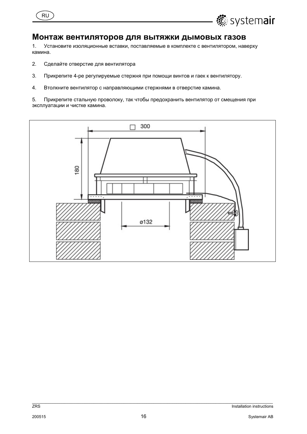



### Монтаж вентиляторов для вытяжки дымовых газов

 $1.$ Установите изоляционные вставки, поставляемые в комплекте с вентилятором, наверху камина.

- $2.$ Сделайте отверстие для вентилятора
- $3.$ Прикрепите 4-ре регулируемые стержня при помощи винтов и гаек к вентилятору.
- $\overline{4}$ . Втолкните вентилятор с направляющими стержнями в отверстие камина.

5. Прикрепите стальную проволоку, так чтобы предохранить вентилятор от смещения при эксплуатации и чистке камина.



 $ZRS$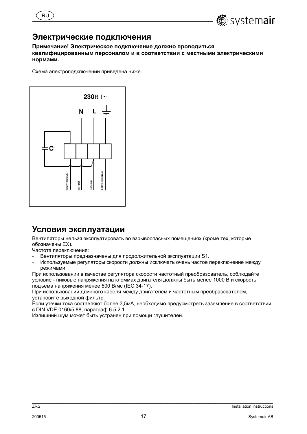



### Электрические подключения

Примечание! Электрическое подключение должно проводиться квалифицированным персоналом и в соответствии с местными электрическими нормами.

Схема электроподключений приведена ниже.



### Условия эксплуатации

Вентиляторы нельзя эксплуатировать во взрывоопасных помещениях (кроме тех, которые обозначены ЕХ).

Частота переключения:

- Вентиляторы предназначены для продолжительной эксплуатации S1.
- Используемые регуляторы скорости должны исключать очень частое переключение между режимами.

При использовании в качестве регулятора скорости частотный преобразователь, соблюдайте условие - пиковые напряжения на клеммах двигателя должны быть менее 1000 В и скорость подъема напряжения менее 500 В/мс (IEC 34-17).

При использовании длинного кабеля между двигателем и частотным преобразователем, установите выходной фильтр.

Если утечки тока составляют более 3.5мА, необходимо предусмотреть заземление в соответствии с DIN VDE 0160/5.88, параграф 6.5.2.1.

Излишний шум может быть устранен при помощи глушителей.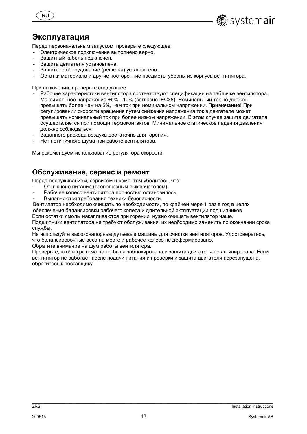



Перед первоначальным запуском, проверьте следующее:

- Электрическое подключение выполнено верно.
- Защитный кабель подключен.
- Защита двигателя установлена.
- Защитное оборудование (решетка) установлено.
- Остатки материала и другие посторонние предметы убраны из корпуса вентилятора.

При включении, проверьте следующее:

- Рабочие характеристики вентилятора соответствуют спецификации на табличке вентилятора. Максимальное напряжение +6%, -10% (согласно IEC38). Номинальный ток не должен превышать более чем на 5%, чем ток при номинальном напряжении. Примечание! При регулировании скорости вращения путем снижения напряжения ток в двигателе может превышать номинальный ток при более низком напряжении. В этом случае зашита двигателя осуществляется при помощи термоконтактов. Минимальное статическое падения давления должно соблюдаться.
- Заданного расхода воздуха достаточно для горения.
- Нет нетипичного шума при работе вентилятора.

Мы рекомендуем использование регулятора скорости.

#### Обслуживание, сервис и ремонт

Перед обслуживанием, сервисом и ремонтом убедитесь, что:

- Отключено питание (всеполюсным выключателем),
- Рабочее колесо вентилятора полностью остановилось,
- Выполняются требования техники безопасности.

Вентилятор необходимо очищать по необходимости, по крайней мере 1 раз в год в целях обеспечения балансировки рабочего колеса и длительной эксплуатации подшипников.

Если остатки смолы накапливаются при горении, нужно очищать вентилятор чаще.

Подшипники вентилятора не требуют обслуживания, их необходимо заменить по окончании срока службы.

Не используйте высоконапорные дутьевые машины для очистки вентиляторов. Удостоверьтесь, что балансировочные веса на месте и рабочее колесо не деформировано.

Обратите внимание на шум работы вентилятора.

Проверьте, чтобы крыльчатка не была заблокирована и зашита двигателя не активирована. Если вентилятор не работает после подачи питания и проверки и защита двигателя перезапущена, обратитесь к поставщику.

**▒** system**air** 

 $7R<sub>S</sub>$